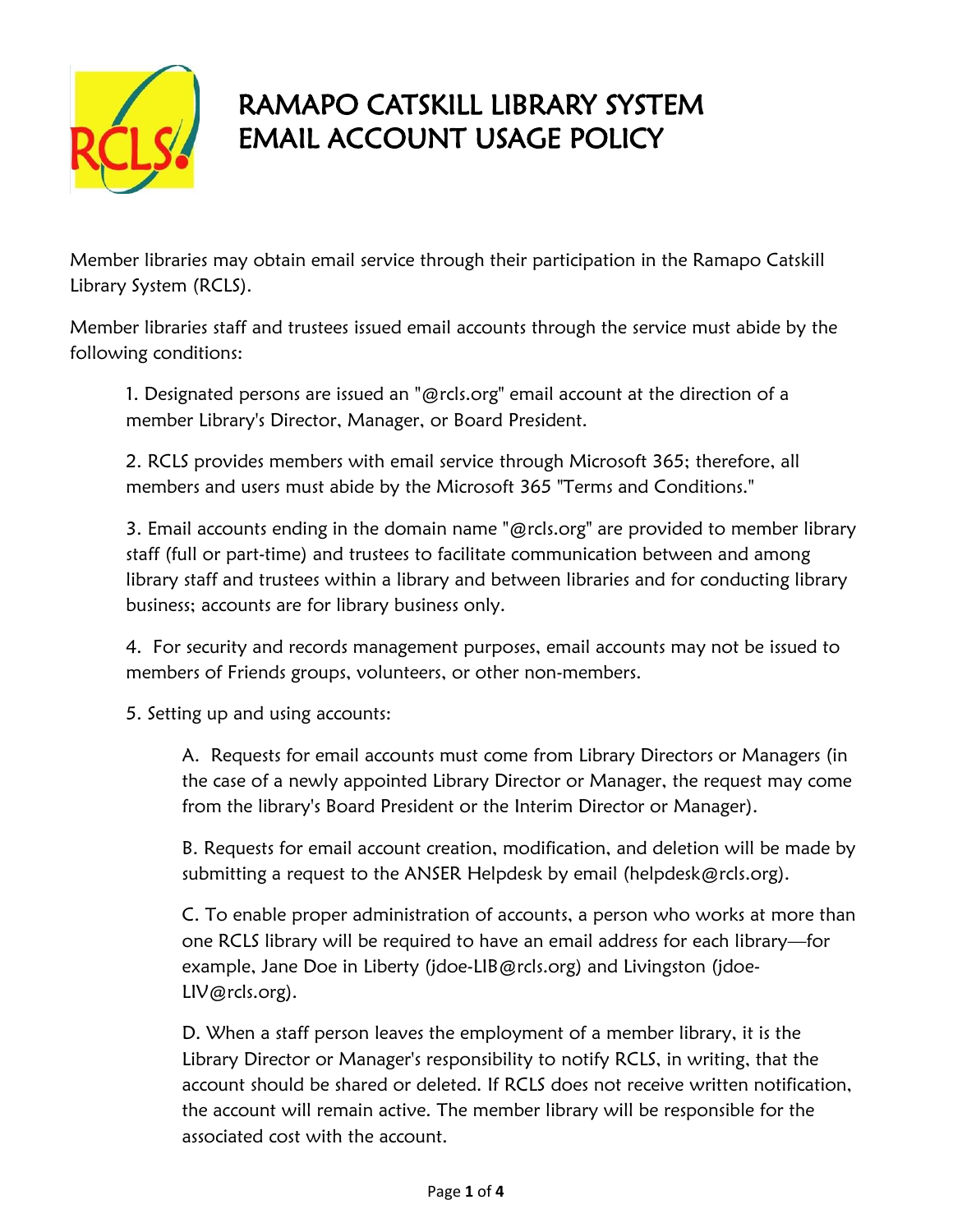

## RAMAPO CATSKILL LIBRARY SYSTEM EMAIL ACCOUNT USAGE POLICY

Member libraries may obtain email service through their participation in the Ramapo Catskill Library System (RCLS).

Member libraries staff and trustees issued email accounts through the service must abide by the following conditions:

1. Designated persons are issued an "@rcls.org" email account at the direction of a member Library's Director, Manager, or Board President.

2. RCLS provides members with email service through Microsoft 365; therefore, all members and users must abide by the Microsoft 365 "Terms and Conditions."

3. Email accounts ending in the domain name "@rcls.org" are provided to member library staff (full or part-time) and trustees to facilitate communication between and among library staff and trustees within a library and between libraries and for conducting library business; accounts are for library business only.

4. For security and records management purposes, email accounts may not be issued to members of Friends groups, volunteers, or other non-members.

5. Setting up and using accounts:

A. Requests for email accounts must come from Library Directors or Managers (in the case of a newly appointed Library Director or Manager, the request may come from the library's Board President or the Interim Director or Manager).

B. Requests for email account creation, modification, and deletion will be made by submitting a request to the ANSER Helpdesk by email (helpdesk@rcls.org).

C. To enable proper administration of accounts, a person who works at more than one RCLS library will be required to have an email address for each library—for example, Jane Doe in Liberty (jdoe-LIB@rcls.org) and Livingston (jdoe-LIV@rcls.org).

D. When a staff person leaves the employment of a member library, it is the Library Director or Manager's responsibility to notify RCLS, in writing, that the account should be shared or deleted. If RCLS does not receive written notification, the account will remain active. The member library will be responsible for the associated cost with the account.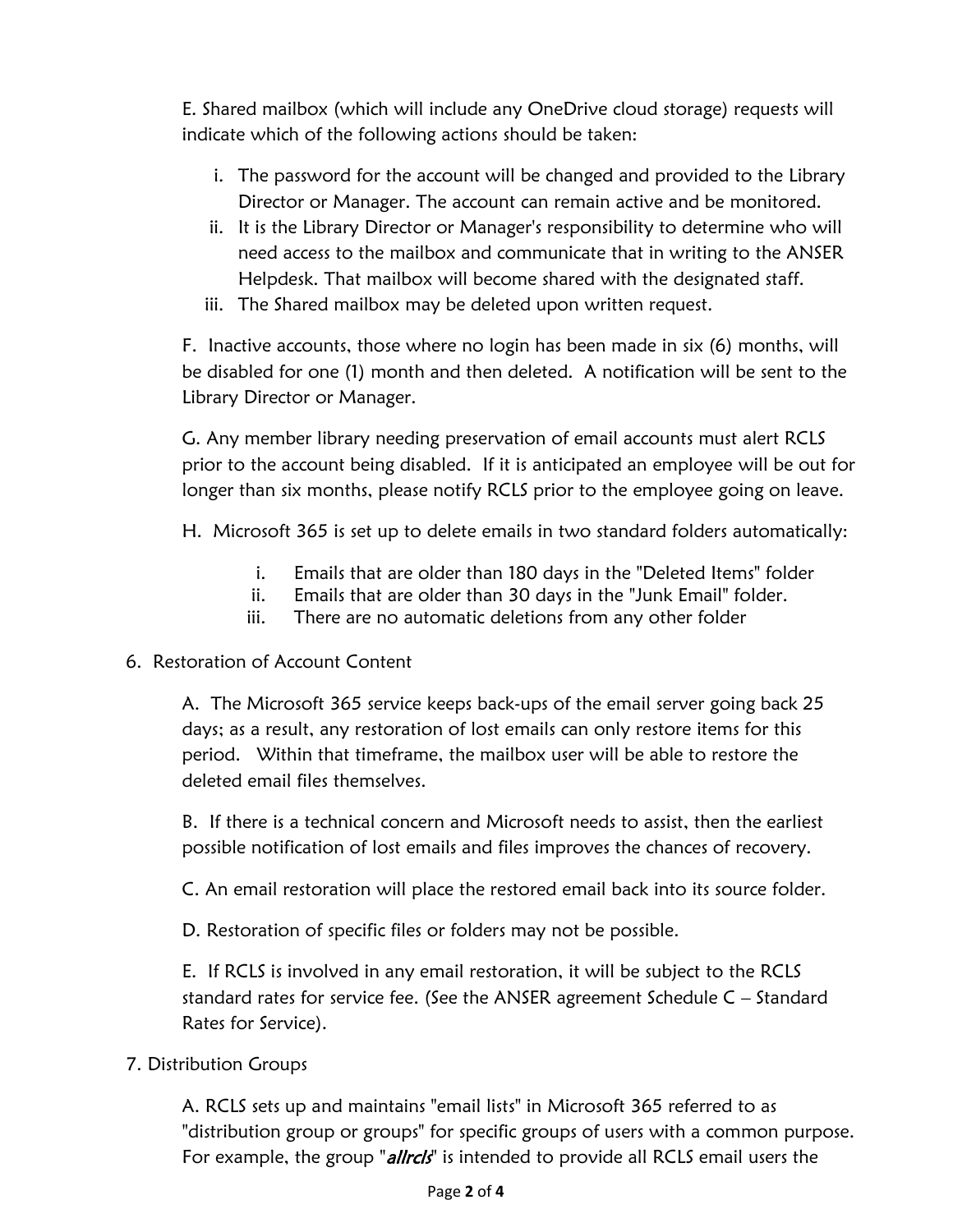E. Shared mailbox (which will include any OneDrive cloud storage) requests will indicate which of the following actions should be taken:

- i. The password for the account will be changed and provided to the Library Director or Manager. The account can remain active and be monitored.
- ii. It is the Library Director or Manager's responsibility to determine who will need access to the mailbox and communicate that in writing to the ANSER Helpdesk. That mailbox will become shared with the designated staff.
- iii. The Shared mailbox may be deleted upon written request.

F. Inactive accounts, those where no login has been made in six (6) months, will be disabled for one (1) month and then deleted. A notification will be sent to the Library Director or Manager.

G. Any member library needing preservation of email accounts must alert RCLS prior to the account being disabled. If it is anticipated an employee will be out for longer than six months, please notify RCLS prior to the employee going on leave.

H. Microsoft 365 is set up to delete emails in two standard folders automatically:

- i. Emails that are older than 180 days in the "Deleted Items" folder
- ii. Emails that are older than 30 days in the "Junk Email" folder.
- iii. There are no automatic deletions from any other folder
- 6. Restoration of Account Content

A. The Microsoft 365 service keeps back-ups of the email server going back 25 days; as a result, any restoration of lost emails can only restore items for this period. Within that timeframe, the mailbox user will be able to restore the deleted email files themselves.

B. If there is a technical concern and Microsoft needs to assist, then the earliest possible notification of lost emails and files improves the chances of recovery.

C. An email restoration will place the restored email back into its source folder.

D. Restoration of specific files or folders may not be possible.

E. If RCLS is involved in any email restoration, it will be subject to the RCLS standard rates for service fee. (See the ANSER agreement Schedule C – Standard Rates for Service).

7. Distribution Groups

A. RCLS sets up and maintains "email lists" in Microsoft 365 referred to as "distribution group or groups" for specific groups of users with a common purpose. For example, the group "allrcls" is intended to provide all RCLS email users the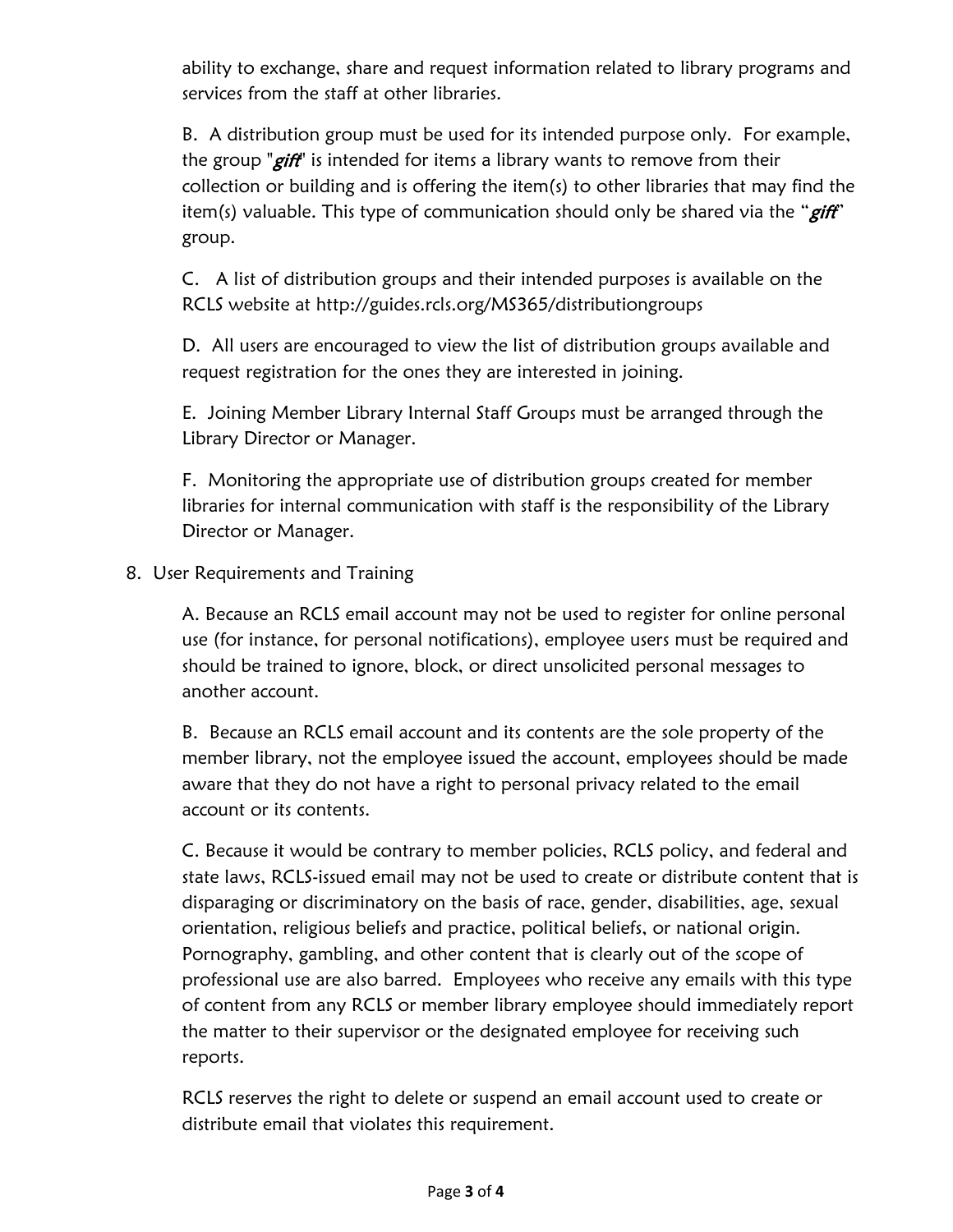ability to exchange, share and request information related to library programs and services from the staff at other libraries.

B. A distribution group must be used for its intended purpose only. For example, the group "*gift*" is intended for items a library wants to remove from their collection or building and is offering the item(s) to other libraries that may find the item(s) valuable. This type of communication should only be shared via the " $giff$ " group.

C. A list of distribution groups and their intended purposes is available on the RCLS website at http://guides.rcls.org/MS365/distributiongroups

D. All users are encouraged to view the list of distribution groups available and request registration for the ones they are interested in joining.

E. Joining Member Library Internal Staff Groups must be arranged through the Library Director or Manager.

F. Monitoring the appropriate use of distribution groups created for member libraries for internal communication with staff is the responsibility of the Library Director or Manager.

8. User Requirements and Training

A. Because an RCLS email account may not be used to register for online personal use (for instance, for personal notifications), employee users must be required and should be trained to ignore, block, or direct unsolicited personal messages to another account.

B. Because an RCLS email account and its contents are the sole property of the member library, not the employee issued the account, employees should be made aware that they do not have a right to personal privacy related to the email account or its contents.

C. Because it would be contrary to member policies, RCLS policy, and federal and state laws, RCLS-issued email may not be used to create or distribute content that is disparaging or discriminatory on the basis of race, gender, disabilities, age, sexual orientation, religious beliefs and practice, political beliefs, or national origin. Pornography, gambling, and other content that is clearly out of the scope of professional use are also barred. Employees who receive any emails with this type of content from any RCLS or member library employee should immediately report the matter to their supervisor or the designated employee for receiving such reports.

RCLS reserves the right to delete or suspend an email account used to create or distribute email that violates this requirement.